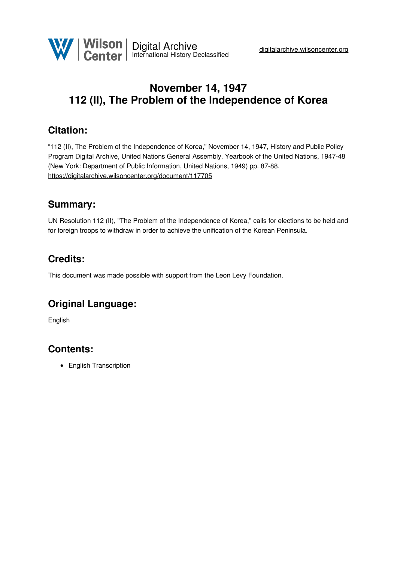

# **November 14, 1947 112 (II), The Problem of the Independence of Korea**

## **Citation:**

"112 (II), The Problem of the Independence of Korea," November 14, 1947, History and Public Policy Program Digital Archive, United Nations General Assembly, Yearbook of the United Nations, 1947-48 (New York: Department of Public Information, United Nations, 1949) pp. 87-88. <https://digitalarchive.wilsoncenter.org/document/117705>

### **Summary:**

UN Resolution 112 (II), "The Problem of the Independence of Korea," calls for elections to be held and for foreign troops to withdraw in order to achieve the unification of the Korean Peninsula.

## **Credits:**

This document was made possible with support from the Leon Levy Foundation.

### **Original Language:**

English

## **Contents:**

• English Transcription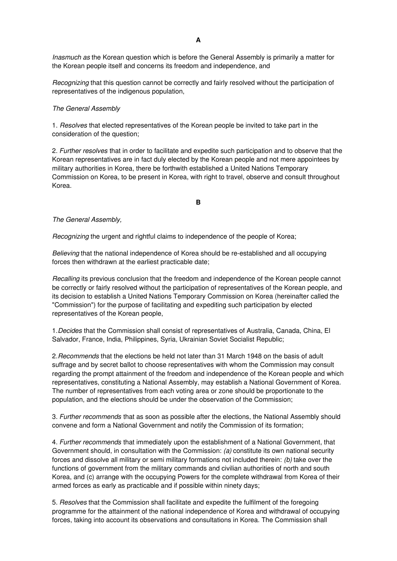*Inasmuch as* the Korean question which is before the General Assembly is primarily a matter for the Korean people itself and concerns its freedom and independence, and

*Recognizing* that this question cannot be correctly and fairly resolved without the participation of representatives of the indigenous population,

#### *The General Assembly*

1. *Resolves* that elected representatives of the Korean people be invited to take part in the consideration of the question;

2. *Further resolves* that in order to facilitate and expedite such participation and to observe that the Korean representatives are in fact duly elected by the Korean people and not mere appointees by military authorities in Korea, there be forthwith established a United Nations Temporary Commission on Korea, to be present in Korea, with right to travel, observe and consult throughout Korea.

**B**

#### *The General Assembly,*

*Recognizing* the urgent and rightful claims to independence of the people of Korea;

*Believing* that the national independence of Korea should be re-established and all occupying forces then withdrawn at the earliest practicable date;

*Recalling* its previous conclusion that the freedom and independence of the Korean people cannot be correctly or fairly resolved without the participation of representatives of the Korean people, and its decision to establish a United Nations Temporary Commission on Korea (hereinafter called the "Commission") for the purpose of facilitating and expediting such participation by elected representatives of the Korean people,

1*.Decides* that the Commission shall consist of representatives of Australia, Canada, China, El Salvador, France, India, Philippines, Syria, Ukrainian Soviet Socialist Republic;

2*.Recommends* that the elections be held not later than 31 March 1948 on the basis of adult suffrage and by secret ballot to choose representatives with whom the Commission may consult regarding the prompt attainment of the freedom and independence of the Korean people and which representatives, constituting a National Assembly, may establish a National Government of Korea. The number of representatives from each voting area or zone should be proportionate to the population, and the elections should be under the observation of the Commission;

3. *Further recommends* that as soon as possible after the elections, the National Assembly should convene and form a National Government and notify the Commission of its formation;

4. *Further recommends* that immediately upon the establishment of a National Government, that Government should, in consultation with the Commission: *(a)* constitute its own national security forces and dissolve all military or semi military formations not included therein: *(b)* take over the functions of government from the military commands and civilian authorities of north and south Korea, and (c) arrange with the occupying Powers for the complete withdrawal from Korea of their armed forces as early as practicable and if possible within ninety days;

5. *Resolves* that the Commission shall facilitate and expedite the fulfilment of the foregoing programme for the attainment of the national independence of Korea and withdrawal of occupying forces, taking into account its observations and consultations in Korea. The Commission shall